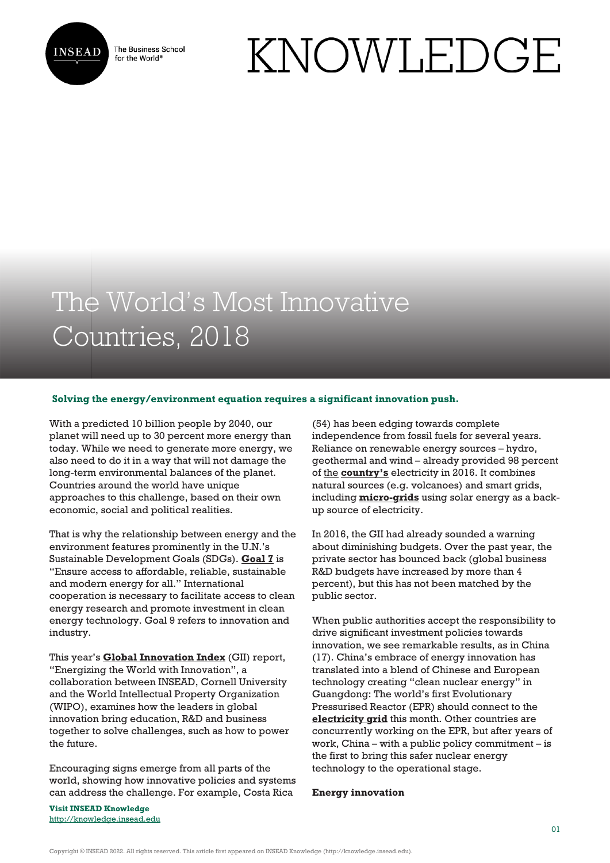

The Business School for the World<sup>®</sup>

# KNOWLEDGE

# The World's Most Innovative Countries, 2018

## **Solving the energy/environment equation requires a significant innovation push.**

With a predicted 10 billion people by 2040, our planet will need up to 30 percent more energy than today. While we need to generate more energy, we also need to do it in a way that will not damage the long-term environmental balances of the planet. Countries around the world have unique approaches to this challenge, based on their own economic, social and political realities.

That is why the relationship between energy and the environment features prominently in the U.N.'s Sustainable Development Goals (SDGs). **[Goal 7](https://www.un.org/sustainabledevelopment/energy/)** is "Ensure access to affordable, reliable, sustainable and modern energy for all." International cooperation is necessary to facilitate access to clean energy research and promote investment in clean energy technology. Goal 9 refers to innovation and industry.

This year's **[Global Innovation Index](https://www.globalinnovationindex.org/home)** (GII) report, "Energizing the World with Innovation", a collaboration between INSEAD, Cornell University and the World Intellectual Property Organization (WIPO), examines how the leaders in global innovation bring education, R&D and business together to solve challenges, such as how to power the future.

Encouraging signs emerge from all parts of the world, showing how innovative policies and systems can address the challenge. For example, Costa Rica

**Visit INSEAD Knowledge** <http://knowledge.insead.edu>

(54) has been edging towards complete independence from fossil fuels for several years. Reliance on renewable energy sources – hydro, geothermal and wind – already provided 98 percent of [the](https://www.planete-energies.com/en/medias/close/costa-rica-renewable-electricity-country) **[country's](https://www.planete-energies.com/en/medias/close/costa-rica-renewable-electricity-country)** electricity in 2016. It combines natural sources (e.g. volcanoes) and smart grids, including **[micro-grids](https://www.energy-storage.news/news/costa-rica-solar-plus-storage-microgrid-completed-by-demand-energy)** using solar energy as a backup source of electricity.

In 2016, the GII had already sounded a warning about diminishing budgets. Over the past year, the private sector has bounced back (global business R&D budgets have increased by more than 4 percent), but this has not been matched by the public sector.

When public authorities accept the responsibility to drive significant investment policies towards innovation, we see remarkable results, as in China (17). China's embrace of energy innovation has translated into a blend of Chinese and European technology creating "clean nuclear energy" in Guangdong: The world's first Evolutionary Pressurised Reactor (EPR) should connect to the **[electricity grid](https://www.reuters.com/article/china-nuclear/update-1-china-epr-nuclear-project-to-go-into-full-operation-in-q3-regulator-idUSL4N1TN37X)** this month. Other countries are concurrently working on the EPR, but after years of work, China – with a public policy commitment – is the first to bring this safer nuclear energy technology to the operational stage.

#### **Energy innovation**

Copyright © INSEAD 2022. All rights reserved. This article first appeared on INSEAD Knowledge (http://knowledge.insead.edu).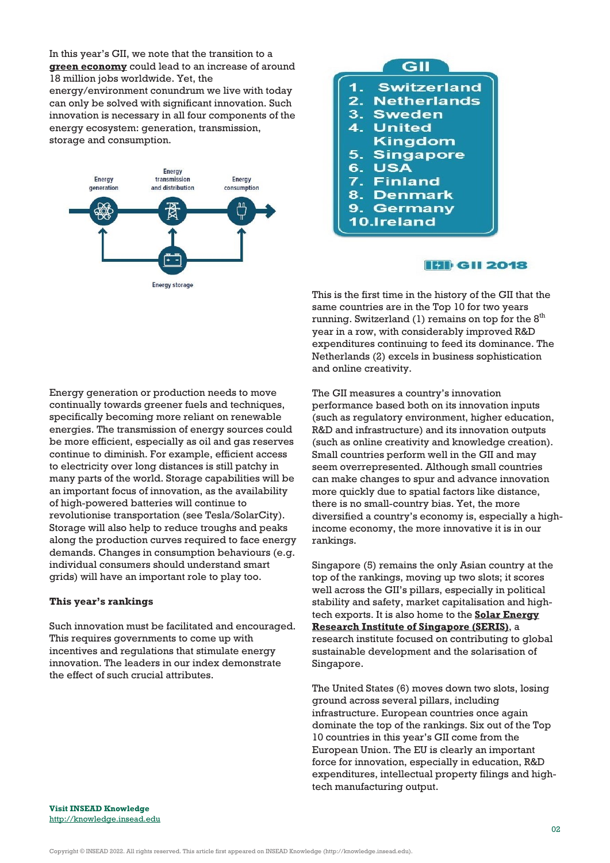In this year's GII, we note that the transition to a **[green economy](https://irena.org/-/media/Files/IRENA/Agency/Publication/2018/May/IRENA_RE_Jobs_Annual_Review_2018.pdf)** could lead to an increase of around 18 million jobs worldwide. Yet, the energy/environment conundrum we live with today can only be solved with significant innovation. Such innovation is necessary in all four components of the energy ecosystem: generation, transmission, storage and consumption.





# **HII** GII 2018

This is the first time in the history of the GII that the same countries are in the Top 10 for two years running. Switzerland (1) remains on top for the  $8<sup>th</sup>$ year in a row, with considerably improved R&D expenditures continuing to feed its dominance. The Netherlands (2) excels in business sophistication and online creativity.

Energy generation or production needs to move continually towards greener fuels and techniques, specifically becoming more reliant on renewable energies. The transmission of energy sources could be more efficient, especially as oil and gas reserves continue to diminish. For example, efficient access to electricity over long distances is still patchy in many parts of the world. Storage capabilities will be an important focus of innovation, as the availability of high-powered batteries will continue to revolutionise transportation (see Tesla/SolarCity). Storage will also help to reduce troughs and peaks along the production curves required to face energy demands. Changes in consumption behaviours (e.g. individual consumers should understand smart grids) will have an important role to play too.

#### **This year's rankings**

Such innovation must be facilitated and encouraged. This requires governments to come up with incentives and regulations that stimulate energy innovation. The leaders in our index demonstrate the effect of such crucial attributes.

The GII measures a country's innovation performance based both on its innovation inputs (such as regulatory environment, higher education, R&D and infrastructure) and its innovation outputs (such as online creativity and knowledge creation). Small countries perform well in the GII and may seem overrepresented. Although small countries can make changes to spur and advance innovation more quickly due to spatial factors like distance, there is no small-country bias. Yet, the more diversified a country's economy is, especially a highincome economy, the more innovative it is in our rankings.

Singapore (5) remains the only Asian country at the top of the rankings, moving up two slots; it scores well across the GII's pillars, especially in political stability and safety, market capitalisation and hightech exports. It is also home to the **[Solar Energy](http://www.seris.nus.edu.sg/) [Research Institute of Singapore \(SERIS\)](http://www.seris.nus.edu.sg/)**, a research institute focused on contributing to global sustainable development and the solarisation of Singapore.

The United States (6) moves down two slots, losing ground across several pillars, including infrastructure. European countries once again dominate the top of the rankings. Six out of the Top 10 countries in this year's GII come from the European Union. The EU is clearly an important force for innovation, especially in education, R&D expenditures, intellectual property filings and hightech manufacturing output.

**Visit INSEAD Knowledge** <http://knowledge.insead.edu>

Copyright © INSEAD 2022. All rights reserved. This article first appeared on INSEAD Knowledge (http://knowledge.insead.edu).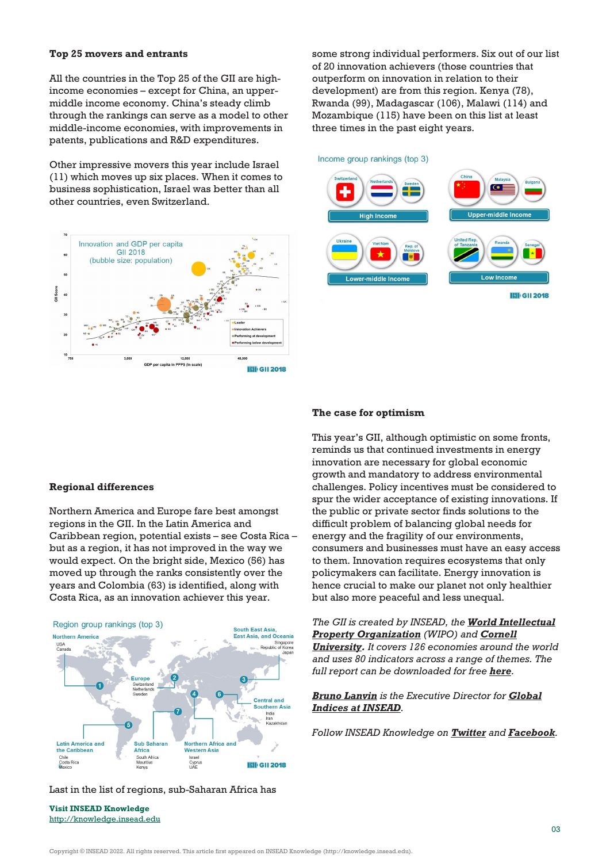#### **Top 25 movers and entrants**

All the countries in the Top 25 of the GII are highincome economies – except for China, an uppermiddle income economy. China's steady climb through the rankings can serve as a model to other middle-income economies, with improvements in patents, publications and R&D expenditures.

Other impressive movers this year include Israel (11) which moves up six places. When it comes to business sophistication, Israel was better than all other countries, even Switzerland.



some strong individual performers. Six out of our list of 20 innovation achievers (those countries that outperform on innovation in relation to their development) are from this region. Kenya (78), Rwanda (99), Madagascar (106), Malawi (114) and Mozambique (115) have been on this list at least three times in the past eight years.

Income group rankings (top 3)



#### **The case for optimism**

This year's GII, although optimistic on some fronts, reminds us that continued investments in energy innovation are necessary for global economic growth and mandatory to address environmental challenges. Policy incentives must be considered to spur the wider acceptance of existing innovations. If the public or private sector finds solutions to the difficult problem of balancing global needs for energy and the fragility of our environments, consumers and businesses must have an easy access to them. Innovation requires ecosystems that only policymakers can facilitate. Energy innovation is hence crucial to make our planet not only healthier but also more peaceful and less unequal.

*The GII is created by INSEAD, the [World Intellectual](http://www.wipo.int/portal/en/index.html) [Property Organization](http://www.wipo.int/portal/en/index.html) (WIPO) and [Cornell](https://www.cornell.edu/) [University](https://www.cornell.edu/). It covers 126 economies around the world and uses 80 indicators across a range of themes. The full report can be downloaded for free [here](https://www.globalinnovationindex.org/Home).*

## *[Bruno Lanvin](http://knowledge.insead.edu/users/bruno-lanvin) is the Executive Director for [Global](http://global-indices.insead.edu/) [Indices at INSEAD](http://global-indices.insead.edu/).*

*Follow INSEAD Knowledge on [Twitter](http://www.twitter.com/inseadknowledge) and [Facebook](http://www.facebook.com/Knowledge.insead).*

#### **Regional differences**

Northern America and Europe fare best amongst regions in the GII. In the Latin America and Caribbean region, potential exists – see Costa Rica – but as a region, it has not improved in the way we would expect. On the bright side, Mexico (56) has moved up through the ranks consistently over the years and Colombia (63) is identified, along with Costa Rica, as an innovation achiever this year.



# Last in the list of regions, sub-Saharan Africa has

**Visit INSEAD Knowledge** <http://knowledge.insead.edu>

Copyright © INSEAD 2022. All rights reserved. This article first appeared on INSEAD Knowledge (http://knowledge.insead.edu).